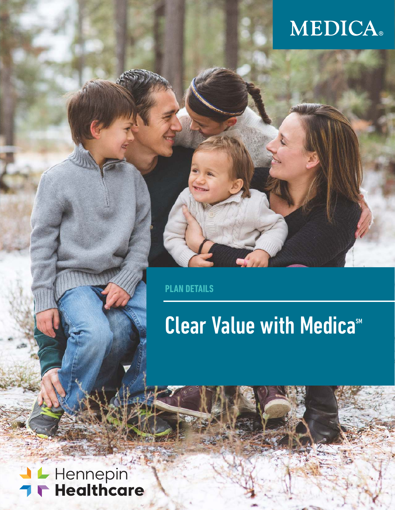## **MEDICA**®

**PLAN DETAILS**

# Clear Value with Medica<sup>™</sup>

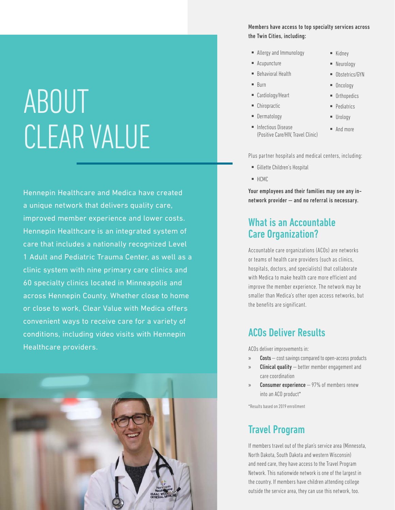# ABOUT CLEAR VALUE

Hennepin Healthcare and Medica have created a unique network that delivers quality care, improved member experience and lower costs. Hennepin Healthcare is an integrated system of care that includes a nationally recognized Level 1 Adult and Pediatric Trauma Center, as well as a clinic system with nine primary care clinics and 60 specialty clinics located in Minneapolis and across Hennepin County. Whether close to home or close to work, Clear Value with Medica offers convenient ways to receive care for a variety of conditions, including video visits with Hennepin Healthcare providers.



#### Members have access to top specialty services across the Twin Cities, including:

- § Allergy and Immunology
- § Acupuncture
- Behavioral Health
- § Burn
- Cardiology/Heart
- § Chiropractic
- § Dermatology
- § Kidney
- § Neurology
- Obstetrics/GYN
- § Oncology
- Orthopedics
- Pediatrics
- Urology ■ And more
- Infectious Disease (Positive Care/HIV, Travel Clinic)

Plus partner hospitals and medical centers, including:

- § Gillette Children's Hospital
- § HCMC

Your employees and their families may see any innetwork provider — and no referral is necessary.

#### What is an Accountable Care Organization?

Accountable care organizations (ACOs) are networks or teams of health care providers (such as clinics, hospitals, doctors, and specialists) that collaborate with Medica to make health care more efficient and improve the member experience. The network may be smaller than Medica's other open access networks, but the benefits are significant.

#### ACOs Deliver Results

ACOs deliver improvements in:

- » Costs cost savings compared to open-access products
- » **Clinical quality** better member engagement and care coordination
- $\infty$  **Consumer experience**  $-97\%$  of members renew into an ACO product\*

\*Results based on 2019 enrollment

#### Travel Program

If members travel out of the plan's service area (Minnesota, North Dakota, South Dakota and western Wisconsin) and need care, they have access to the Travel Program Network. This nationwide network is one of the largest in the country. If members have children attending college outside the service area, they can use this network, too.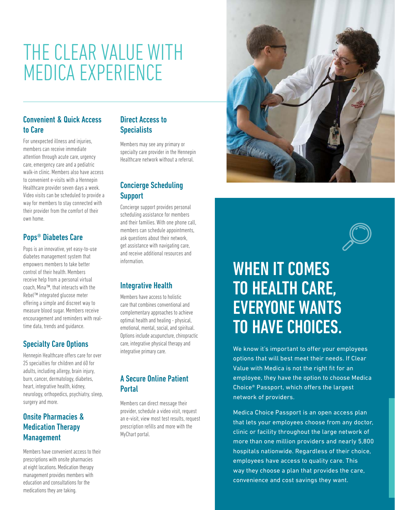### THE CLEAR VALUE WITH MEDICA EXPERIENCE

#### Convenient & Quick Access to Care

For unexpected illness and injuries, members can receive immediate attention through acute care, urgency care, emergency care and a pediatric walk-in clinic. Members also have access to convenient e-visits with a Hennepin Healthcare provider seven days a week. Video visits can be scheduled to provide a way for members to stay connected with their provider from the comfort of their own home.

#### Pops® Diabetes Care

Pops is an innovative, yet easy-to-use diabetes management system that empowers members to take better control of their health. Members receive help from a personal virtual coach, Mina™, that interacts with the Rebel™ integrated glucose meter offering a simple and discreet way to measure blood sugar. Members receive encouragement and reminders with realtime data, trends and guidance.

#### Specialty Care Options

Hennepin Healthcare offers care for over 25 specialties for children and 60 for adults, including allergy, brain injury, burn, cancer, dermatology, diabetes, heart, integrative health, kidney, neurology, orthopedics, psychiatry, sleep, surgery and more.

#### Onsite Pharmacies & Medication Therapy Management

Members have convenient access to their prescriptions with onsite pharmacies at eight locations. Medication therapy management provides members with education and consultations for the medications they are taking.

#### Direct Access to **Specialists**

Members may see any primary or specialty care provider in the Hennepin Healthcare network without a referral.

#### Concierge Scheduling **Support**

Concierge support provides personal scheduling assistance for members and their families. With one phone call, members can schedule appointments, ask questions about their network, get assistance with navigating care, and receive additional resources and information.

#### Integrative Health

Members have access to holistic care that combines conventional and complementary approaches to achieve optimal health and healing - physical, emotional, mental, social, and spiritual. Options include acupuncture, chiropractic care, integrative physical therapy and integrative primary care.

#### A Secure Online Patient **Portal**

Members can direct message their provider, schedule a video visit, request an e-visit, view most test results, request prescription refills and more with the MyChart portal.



### WHEN IT COMES TO HEALTH CARE, EVERYONE WANTS TO HAVE CHOICES.

We know it's important to offer your employees options that will best meet their needs. If Clear Value with Medica is not the right fit for an employee, they have the option to choose Medica Choice® Passport, which offers the largest network of providers.

Medica Choice Passport is an open access plan that lets your employees choose from any doctor, clinic or facility throughout the large network of more than one million providers and nearly 5,800 hospitals nationwide. Regardless of their choice, employees have access to quality care. This way they choose a plan that provides the care, convenience and cost savings they want.